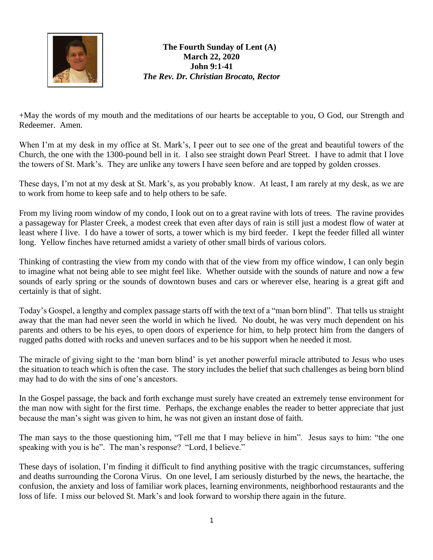

**The Fourth Sunday of Lent (A) March 22, 2020 John 9:1-41** *The Rev. Dr. Christian Brocato, Rector*

+May the words of my mouth and the meditations of our hearts be acceptable to you, O God, our Strength and Redeemer. Amen.

When I'm at my desk in my office at St. Mark's, I peer out to see one of the great and beautiful towers of the Church, the one with the 1300-pound bell in it. I also see straight down Pearl Street. I have to admit that I love the towers of St. Mark's. They are unlike any towers I have seen before and are topped by golden crosses.

These days, I'm not at my desk at St. Mark's, as you probably know. At least, I am rarely at my desk, as we are to work from home to keep safe and to help others to be safe.

From my living room window of my condo, I look out on to a great ravine with lots of trees. The ravine provides a passageway for Plaster Creek, a modest creek that even after days of rain is still just a modest flow of water at least where I live. I do have a tower of sorts, a tower which is my bird feeder. I kept the feeder filled all winter long. Yellow finches have returned amidst a variety of other small birds of various colors.

Thinking of contrasting the view from my condo with that of the view from my office window, I can only begin to imagine what not being able to see might feel like. Whether outside with the sounds of nature and now a few sounds of early spring or the sounds of downtown buses and cars or wherever else, hearing is a great gift and certainly is that of sight.

Today's Gospel, a lengthy and complex passage starts off with the text of a "man born blind". That tells us straight away that the man had never seen the world in which he lived. No doubt, he was very much dependent on his parents and others to be his eyes, to open doors of experience for him, to help protect him from the dangers of rugged paths dotted with rocks and uneven surfaces and to be his support when he needed it most.

The miracle of giving sight to the 'man born blind' is yet another powerful miracle attributed to Jesus who uses the situation to teach which is often the case. The story includes the belief that such challenges as being born blind may had to do with the sins of one's ancestors.

In the Gospel passage, the back and forth exchange must surely have created an extremely tense environment for the man now with sight for the first time. Perhaps, the exchange enables the reader to better appreciate that just because the man's sight was given to him, he was not given an instant dose of faith.

The man says to the those questioning him, "Tell me that I may believe in him". Jesus says to him: "the one speaking with you is he". The man's response? "Lord, I believe."

These days of isolation, I'm finding it difficult to find anything positive with the tragic circumstances, suffering and deaths surrounding the Corona Virus. On one level, I am seriously disturbed by the news, the heartache, the confusion, the anxiety and loss of familiar work places, learning environments, neighborhood restaurants and the loss of life. I miss our beloved St. Mark's and look forward to worship there again in the future.